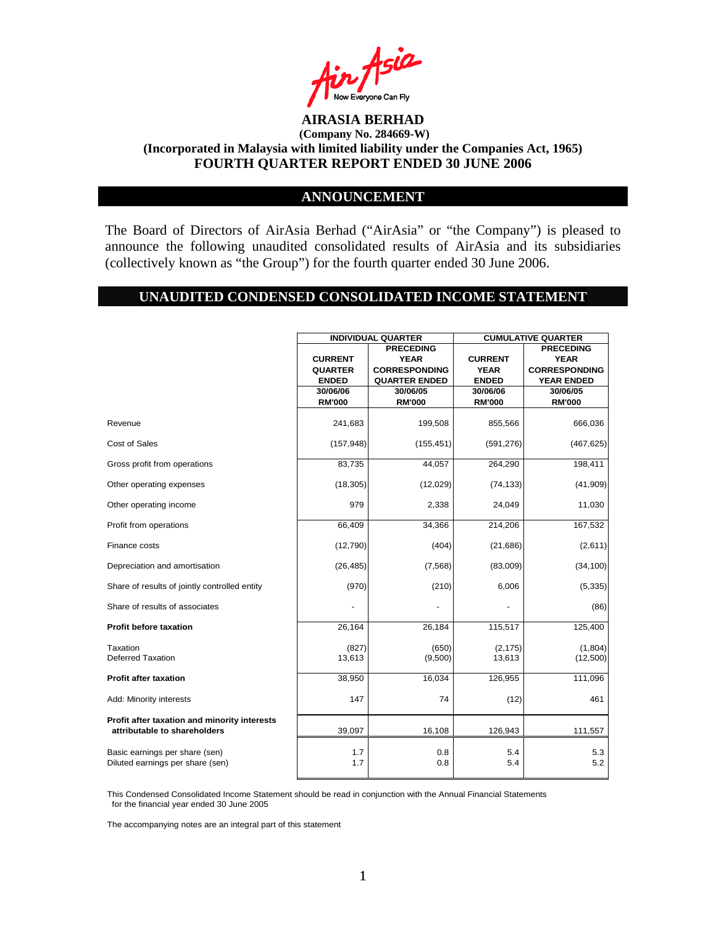

#### **ANNOUNCEMENT**

The Board of Directors of AirAsia Berhad ("AirAsia" or "the Company") is pleased to announce the following unaudited consolidated results of AirAsia and its subsidiaries (collectively known as "the Group") for the fourth quarter ended 30 June 2006.

#### **UNAUDITED CONDENSED CONSOLIDATED INCOME STATEMENT**

|                                                                              | <b>INDIVIDUAL QUARTER</b> |                      | <b>CUMULATIVE QUARTER</b> |                      |
|------------------------------------------------------------------------------|---------------------------|----------------------|---------------------------|----------------------|
|                                                                              |                           | <b>PRECEDING</b>     |                           | <b>PRECEDING</b>     |
|                                                                              | <b>CURRENT</b>            | <b>YEAR</b>          | <b>CURRENT</b>            | <b>YEAR</b>          |
|                                                                              | <b>QUARTER</b>            | <b>CORRESPONDING</b> | <b>YEAR</b>               | <b>CORRESPONDING</b> |
|                                                                              | <b>ENDED</b>              | <b>QUARTER ENDED</b> | <b>ENDED</b>              | <b>YEAR ENDED</b>    |
|                                                                              | 30/06/06                  | 30/06/05             | 30/06/06                  | 30/06/05             |
|                                                                              | <b>RM'000</b>             | <b>RM'000</b>        | <b>RM'000</b>             | <b>RM'000</b>        |
| Revenue                                                                      | 241,683                   | 199,508              | 855,566                   | 666,036              |
| Cost of Sales                                                                | (157, 948)                | (155, 451)           | (591, 276)                | (467, 625)           |
| Gross profit from operations                                                 | 83,735                    | 44,057               | 264,290                   | 198,411              |
| Other operating expenses                                                     | (18, 305)                 | (12,029)             | (74, 133)                 | (41,909)             |
| Other operating income                                                       | 979                       | 2,338                | 24,049                    | 11,030               |
| Profit from operations                                                       | 66,409                    | 34,366               | 214,206                   | 167,532              |
| Finance costs                                                                | (12,790)                  | (404)                | (21, 686)                 | (2,611)              |
| Depreciation and amortisation                                                | (26, 485)                 | (7, 568)             | (83,009)                  | (34, 100)            |
| Share of results of jointly controlled entity                                | (970)                     | (210)                | 6,006                     | (5, 335)             |
| Share of results of associates                                               |                           |                      |                           | (86)                 |
| <b>Profit before taxation</b>                                                | 26,164                    | 26,184               | 115,517                   | 125,400              |
| Taxation<br><b>Deferred Taxation</b>                                         | (827)<br>13,613           | (650)<br>(9,500)     | (2, 175)<br>13,613        | (1,804)<br>(12,500)  |
| <b>Profit after taxation</b>                                                 | 38,950                    | 16,034               | 126,955                   | 111,096              |
| Add: Minority interests                                                      | 147                       | 74                   | (12)                      | 461                  |
| Profit after taxation and minority interests<br>attributable to shareholders | 39,097                    | 16,108               | 126,943                   | 111,557              |
| Basic earnings per share (sen)<br>Diluted earnings per share (sen)           | 1.7<br>1.7                | 0.8<br>0.8           | 5.4<br>5.4                | 5.3<br>5.2           |

This Condensed Consolidated Income Statement should be read in conjunction with the Annual Financial Statements for the financial year ended 30 June 2005

The accompanying notes are an integral part of this statement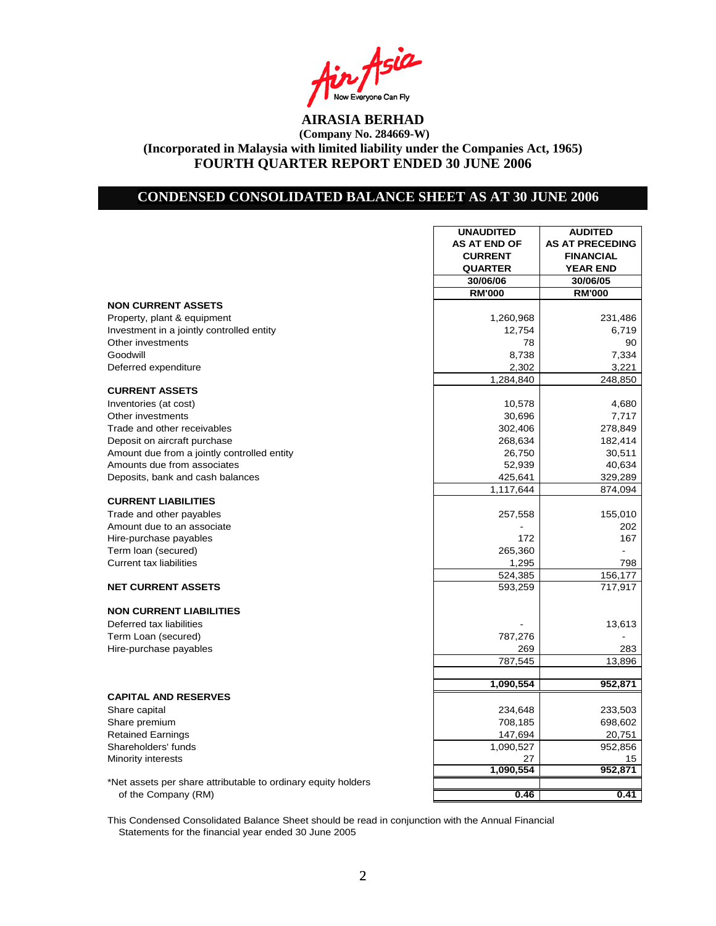Asia Now Everyone Can Fly<br>**AIRASIA BERHAD** 

### **CONDENSED CONSOLIDATED BALANCE SHEET AS AT 30 JUNE 2006**

|                                                               | <b>UNAUDITED</b>    | <b>AUDITED</b>         |
|---------------------------------------------------------------|---------------------|------------------------|
|                                                               | <b>AS AT END OF</b> | <b>AS AT PRECEDING</b> |
|                                                               | <b>CURRENT</b>      | <b>FINANCIAL</b>       |
|                                                               | <b>QUARTER</b>      | <b>YEAR END</b>        |
|                                                               | 30/06/06            | 30/06/05               |
|                                                               | <b>RM'000</b>       | <b>RM'000</b>          |
| <b>NON CURRENT ASSETS</b>                                     |                     |                        |
| Property, plant & equipment                                   | 1,260,968           | 231,486                |
| Investment in a jointly controlled entity                     | 12,754              | 6,719                  |
| Other investments                                             | 78                  | 90                     |
| Goodwill                                                      | 8,738               | 7,334                  |
| Deferred expenditure                                          | 2,302               | 3,221                  |
|                                                               | 1,284,840           | 248,850                |
| <b>CURRENT ASSETS</b>                                         |                     |                        |
| Inventories (at cost)                                         | 10,578              | 4,680                  |
| Other investments                                             | 30,696              | 7,717                  |
| Trade and other receivables                                   | 302,406             | 278,849                |
| Deposit on aircraft purchase                                  | 268,634             | 182,414                |
| Amount due from a jointly controlled entity                   | 26,750              | 30,511                 |
| Amounts due from associates                                   | 52,939              | 40,634                 |
| Deposits, bank and cash balances                              | 425,641             | 329,289                |
|                                                               | 1,117,644           | 874,094                |
| <b>CURRENT LIABILITIES</b>                                    |                     |                        |
| Trade and other payables                                      | 257,558             | 155,010                |
| Amount due to an associate                                    |                     | 202                    |
| Hire-purchase payables                                        | 172                 | 167                    |
| Term loan (secured)                                           | 265,360             |                        |
| <b>Current tax liabilities</b>                                | 1,295               | 798                    |
|                                                               | 524,385             | 156,177                |
| <b>NET CURRENT ASSETS</b>                                     | 593,259             | 717,917                |
|                                                               |                     |                        |
| <b>NON CURRENT LIABILITIES</b>                                |                     |                        |
| Deferred tax liabilities                                      |                     | 13,613                 |
| Term Loan (secured)                                           | 787,276             |                        |
| Hire-purchase payables                                        | 269                 | 283                    |
|                                                               | 787,545             | 13,896                 |
|                                                               |                     |                        |
|                                                               | 1,090,554           | $\overline{952,}871$   |
| <b>CAPITAL AND RESERVES</b>                                   |                     |                        |
| Share capital                                                 | 234,648             | 233,503                |
| Share premium                                                 | 708,185             | 698,602                |
| <b>Retained Earnings</b>                                      | 147,694             | 20,751                 |
| Shareholders' funds                                           | 1,090,527           | 952,856                |
| Minority interests                                            | 27                  | 15                     |
|                                                               | 1,090,554           | 952,871                |
| *Net assets per share attributable to ordinary equity holders |                     |                        |
| of the Company (RM)                                           | 0.46                | 0.41                   |

This Condensed Consolidated Balance Sheet should be read in conjunction with the Annual Financial Statements for the financial year ended 30 June 2005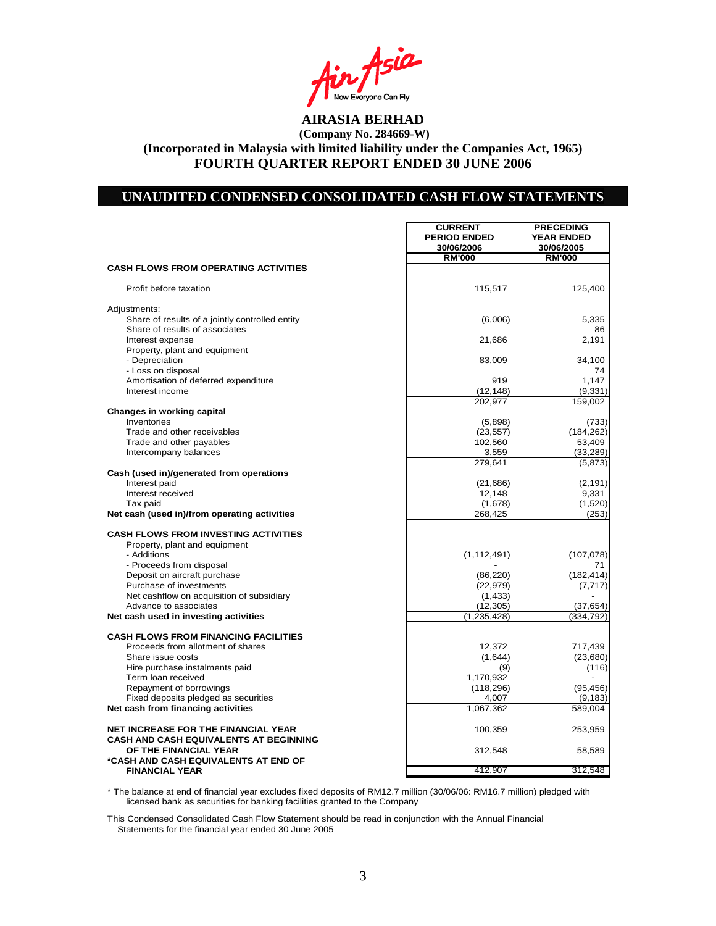Air Asia

### **UNAUDITED CONDENSED CONSOLIDATED CASH FLOW STATEMENTS**

|                                                 | <b>CURRENT</b>      | <b>PRECEDING</b>  |
|-------------------------------------------------|---------------------|-------------------|
|                                                 | <b>PERIOD ENDED</b> | <b>YEAR ENDED</b> |
|                                                 | 30/06/2006          | 30/06/2005        |
|                                                 | <b>RM'000</b>       | <b>RM'000</b>     |
|                                                 |                     |                   |
| <b>CASH FLOWS FROM OPERATING ACTIVITIES</b>     |                     |                   |
| Profit before taxation                          | 115,517             | 125,400           |
|                                                 |                     |                   |
| Adjustments:                                    |                     |                   |
| Share of results of a jointly controlled entity | (6,006)             | 5,335             |
| Share of results of associates                  |                     | 86                |
| Interest expense                                | 21,686              | 2,191             |
| Property, plant and equipment                   |                     |                   |
| - Depreciation                                  | 83,009              | 34,100            |
|                                                 |                     | 74                |
| - Loss on disposal                              |                     |                   |
| Amortisation of deferred expenditure            | 919                 | 1,147             |
| Interest income                                 | (12, 148)           | (9, 331)          |
|                                                 | 202,977             | 159,002           |
| Changes in working capital                      |                     |                   |
| Inventories                                     | (5,898)             | (733)             |
| Trade and other receivables                     | (23, 557)           | (184, 262)        |
| Trade and other payables                        | 102,560             | 53,409            |
| Intercompany balances                           | 3,559               | (33, 289)         |
|                                                 | 279,641             | (5, 873)          |
| Cash (used in)/generated from operations        |                     |                   |
| Interest paid                                   | (21, 686)           | (2, 191)          |
| Interest received                               | 12,148              | 9,331             |
| Tax paid                                        | (1,678)             | (1,520)           |
| Net cash (used in)/from operating activities    | 268,425             | (253)             |
|                                                 |                     |                   |
| <b>CASH FLOWS FROM INVESTING ACTIVITIES</b>     |                     |                   |
| Property, plant and equipment                   |                     |                   |
| - Additions                                     | (1, 112, 491)       | (107,078)         |
| - Proceeds from disposal                        |                     | 71                |
| Deposit on aircraft purchase                    | (86, 220)           | (182, 414)        |
| Purchase of investments                         | (22, 979)           | (7, 717)          |
| Net cashflow on acquisition of subsidiary       | (1, 433)            |                   |
| Advance to associates                           | (12, 305)           | (37, 654)         |
| Net cash used in investing activities           | (1, 235, 428)       | (334, 792)        |
|                                                 |                     |                   |
| <b>CASH FLOWS FROM FINANCING FACILITIES</b>     |                     |                   |
| Proceeds from allotment of shares               | 12,372              | 717,439           |
| Share issue costs                               | (1,644)             | (23,680)          |
| Hire purchase instalments paid                  | (9)                 | (116)             |
| Term loan received                              | 1,170,932           |                   |
| Repayment of borrowings                         | (118, 296)          | (95, 456)         |
| Fixed deposits pledged as securities            | 4,007               | (9, 183)          |
| Net cash from financing activities              | 1,067,362           | 589,004           |
|                                                 |                     |                   |
| <b>NET INCREASE FOR THE FINANCIAL YEAR</b>      | 100,359             | 253,959           |
| <b>CASH AND CASH EQUIVALENTS AT BEGINNING</b>   |                     |                   |
|                                                 |                     |                   |
| OF THE FINANCIAL YEAR                           | 312,548             | 58,589            |
| *CASH AND CASH EQUIVALENTS AT END OF            |                     |                   |
| <b>FINANCIAL YEAR</b>                           | 412,907             | 312,548           |

\* The balance at end of financial year excludes fixed deposits of RM12.7 million (30/06/06: RM16.7 million) pledged with licensed bank as securities for banking facilities granted to the Company

This Condensed Consolidated Cash Flow Statement should be read in conjunction with the Annual Financial Statements for the financial year ended 30 June 2005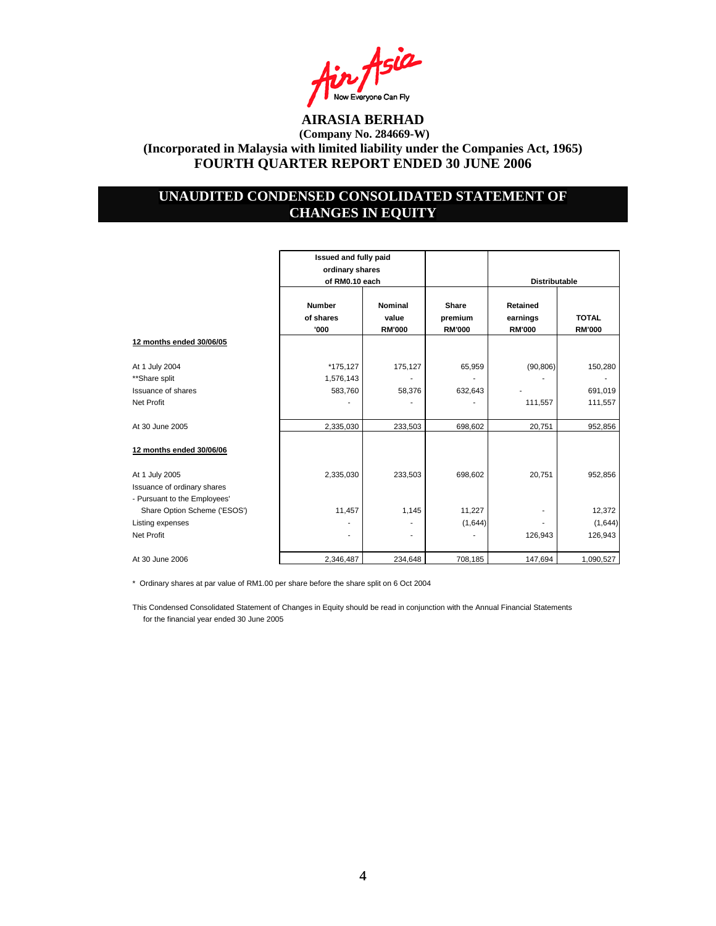Air Asia

### **UNAUDITED CONDENSED CONSOLIDATED STATEMENT OF CHANGES IN EQUITY**

|                                                                               | Issued and fully paid<br>ordinary shares<br>of RM0.10 each |                                   |                                          | <b>Distributable</b>                  |                               |
|-------------------------------------------------------------------------------|------------------------------------------------------------|-----------------------------------|------------------------------------------|---------------------------------------|-------------------------------|
|                                                                               | <b>Number</b><br>of shares<br>'000                         | Nominal<br>value<br><b>RM'000</b> | <b>Share</b><br>premium<br><b>RM'000</b> | Retained<br>earnings<br><b>RM'000</b> | <b>TOTAL</b><br><b>RM'000</b> |
| 12 months ended 30/06/05                                                      |                                                            |                                   |                                          |                                       |                               |
| At 1 July 2004<br>**Share split<br>Issuance of shares                         | *175,127<br>1,576,143<br>583,760                           | 175,127<br>58,376                 | 65,959<br>632,643                        | (90, 806)                             | 150,280<br>691,019            |
| Net Profit                                                                    |                                                            |                                   |                                          | 111,557                               | 111,557                       |
| At 30 June 2005                                                               | 2,335,030                                                  | 233,503                           | 698,602                                  | 20,751                                | 952,856                       |
| 12 months ended 30/06/06                                                      |                                                            |                                   |                                          |                                       |                               |
| At 1 July 2005<br>Issuance of ordinary shares<br>- Pursuant to the Employees' | 2,335,030                                                  | 233,503                           | 698,602                                  | 20,751                                | 952,856                       |
| Share Option Scheme ('ESOS')                                                  | 11,457                                                     | 1,145                             | 11,227                                   |                                       | 12,372                        |
| Listing expenses<br>Net Profit                                                |                                                            |                                   | (1,644)                                  | 126,943                               | (1,644)<br>126,943            |
| At 30 June 2006                                                               | 2,346,487                                                  | 234,648                           | 708,185                                  | 147,694                               | 1,090,527                     |

\* Ordinary shares at par value of RM1.00 per share before the share split on 6 Oct 2004

This Condensed Consolidated Statement of Changes in Equity should be read in conjunction with the Annual Financial Statements for the financial year ended 30 June 2005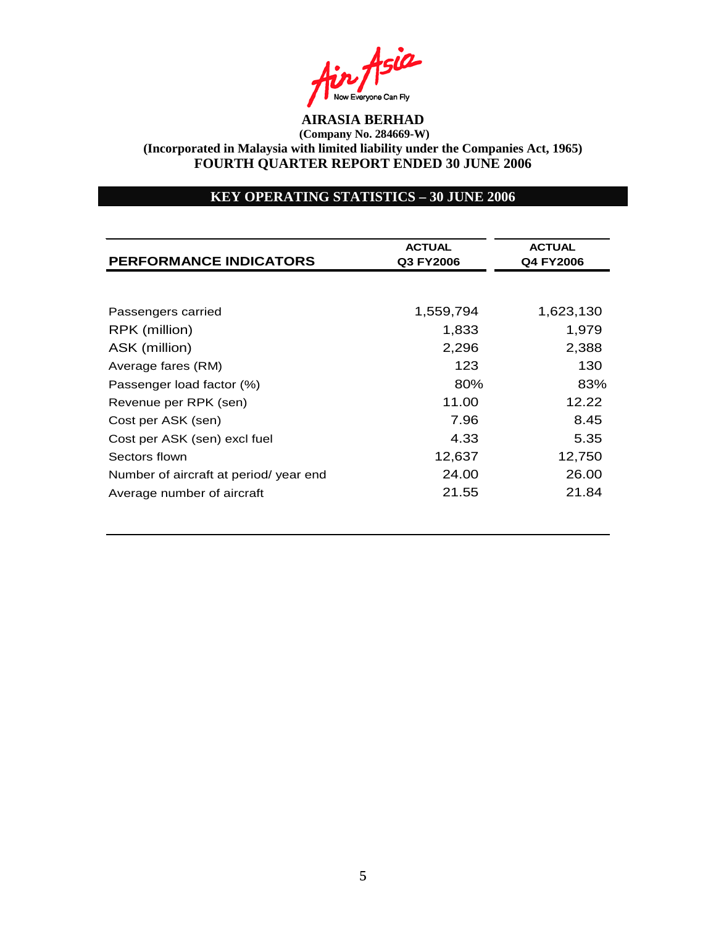Asia Now Everyone Can Fly<br>**AIRASIA BERHAD** 

### **KEY OPERATING STATISTICS – 30 JUNE 2006**

| <b>PERFORMANCE INDICATORS</b>          | <b>ACTUAL</b><br>Q3 FY2006 | <b>ACTUAL</b><br>Q4 FY2006 |  |
|----------------------------------------|----------------------------|----------------------------|--|
|                                        |                            |                            |  |
| Passengers carried                     | 1,559,794                  | 1,623,130                  |  |
| RPK (million)                          | 1,833                      | 1,979                      |  |
| ASK (million)                          | 2,296                      | 2,388                      |  |
| Average fares (RM)                     | 123                        | 130                        |  |
| Passenger load factor (%)              | 80%                        | 83%                        |  |
| Revenue per RPK (sen)                  | 11.00                      | 12.22                      |  |
| Cost per ASK (sen)                     | 7.96                       | 8.45                       |  |
| Cost per ASK (sen) excl fuel           | 4.33                       | 5.35                       |  |
| Sectors flown                          | 12,637                     | 12,750                     |  |
| Number of aircraft at period/ year end | 24.00                      | 26.00                      |  |
| Average number of aircraft             | 21.55                      | 21.84                      |  |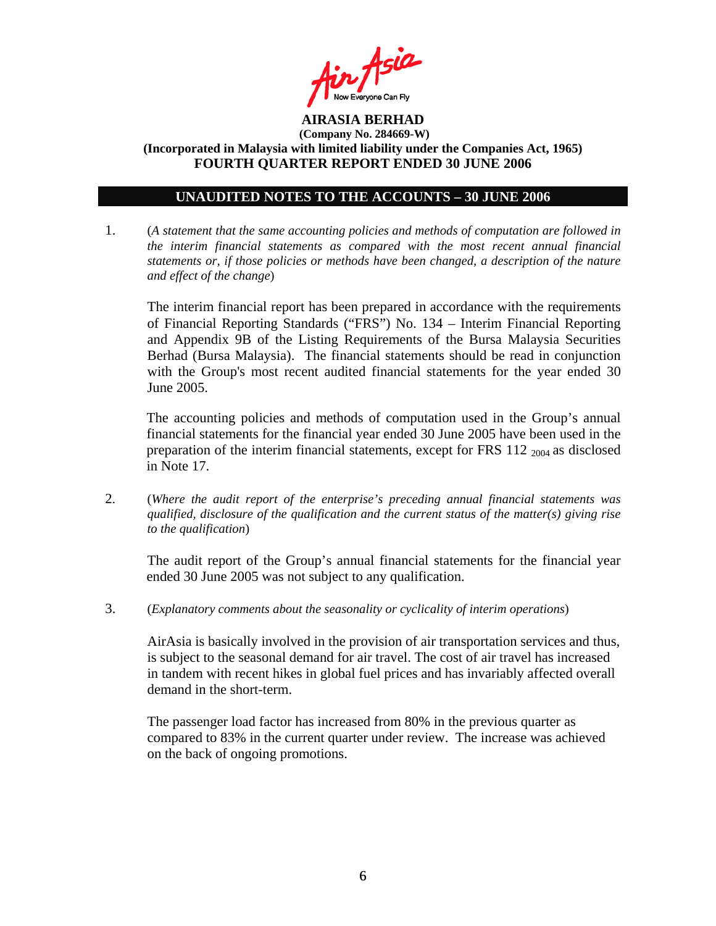

### **UNAUDITED NOTES TO THE ACCOUNTS – 30 JUNE 2006**

1. (*A statement that the same accounting policies and methods of computation are followed in the interim financial statements as compared with the most recent annual financial statements or, if those policies or methods have been changed, a description of the nature and effect of the change*)

The interim financial report has been prepared in accordance with the requirements of Financial Reporting Standards ("FRS") No. 134 – Interim Financial Reporting and Appendix 9B of the Listing Requirements of the Bursa Malaysia Securities Berhad (Bursa Malaysia). The financial statements should be read in conjunction with the Group's most recent audited financial statements for the year ended 30 June 2005.

The accounting policies and methods of computation used in the Group's annual financial statements for the financial year ended 30 June 2005 have been used in the preparation of the interim financial statements, except for FRS  $112_{2004}$  as disclosed in Note 17.

2. (*Where the audit report of the enterprise's preceding annual financial statements was qualified, disclosure of the qualification and the current status of the matter(s) giving rise to the qualification*)

The audit report of the Group's annual financial statements for the financial year ended 30 June 2005 was not subject to any qualification.

3. (*Explanatory comments about the seasonality or cyclicality of interim operations*)

AirAsia is basically involved in the provision of air transportation services and thus, is subject to the seasonal demand for air travel. The cost of air travel has increased in tandem with recent hikes in global fuel prices and has invariably affected overall demand in the short-term.

The passenger load factor has increased from 80% in the previous quarter as compared to 83% in the current quarter under review. The increase was achieved on the back of ongoing promotions.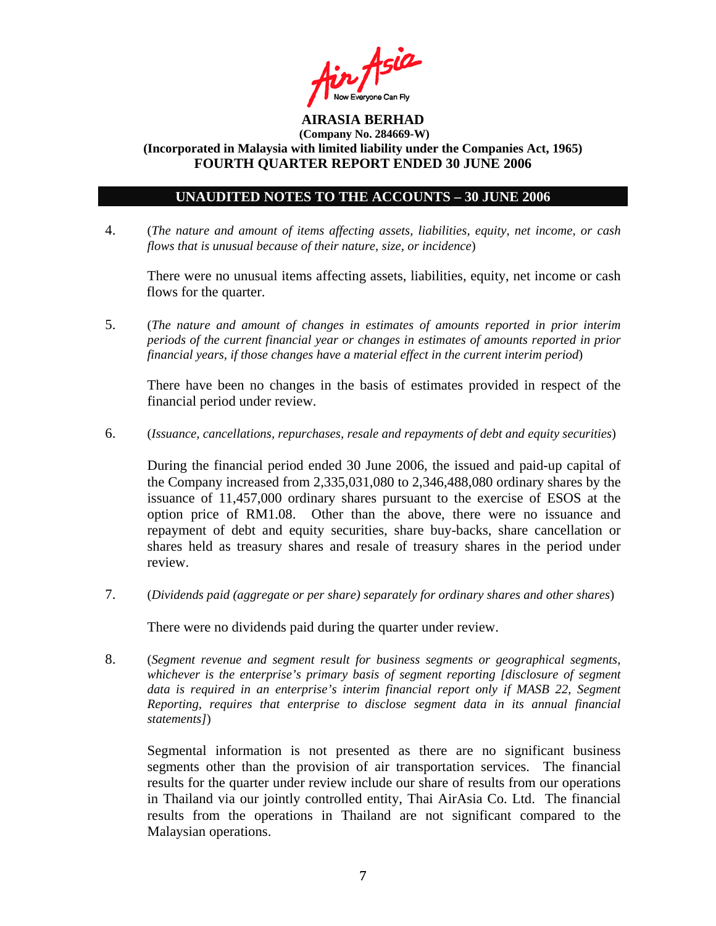

### **UNAUDITED NOTES TO THE ACCOUNTS – 30 JUNE 2006**

4. (*The nature and amount of items affecting assets, liabilities, equity, net income, or cash flows that is unusual because of their nature, size, or incidence*)

 There were no unusual items affecting assets, liabilities, equity, net income or cash flows for the quarter.

5. (*The nature and amount of changes in estimates of amounts reported in prior interim periods of the current financial year or changes in estimates of amounts reported in prior financial years, if those changes have a material effect in the current interim period*)

There have been no changes in the basis of estimates provided in respect of the financial period under review.

6. (*Issuance, cancellations, repurchases, resale and repayments of debt and equity securities*)

During the financial period ended 30 June 2006, the issued and paid-up capital of the Company increased from 2,335,031,080 to 2,346,488,080 ordinary shares by the issuance of 11,457,000 ordinary shares pursuant to the exercise of ESOS at the option price of RM1.08. Other than the above, there were no issuance and repayment of debt and equity securities, share buy-backs, share cancellation or shares held as treasury shares and resale of treasury shares in the period under review.

7. (*Dividends paid (aggregate or per share) separately for ordinary shares and other shares*)

There were no dividends paid during the quarter under review.

8. (*Segment revenue and segment result for business segments or geographical segments, whichever is the enterprise's primary basis of segment reporting [disclosure of segment data is required in an enterprise's interim financial report only if MASB 22, Segment Reporting, requires that enterprise to disclose segment data in its annual financial statements]*)

Segmental information is not presented as there are no significant business segments other than the provision of air transportation services. The financial results for the quarter under review include our share of results from our operations in Thailand via our jointly controlled entity, Thai AirAsia Co. Ltd. The financial results from the operations in Thailand are not significant compared to the Malaysian operations.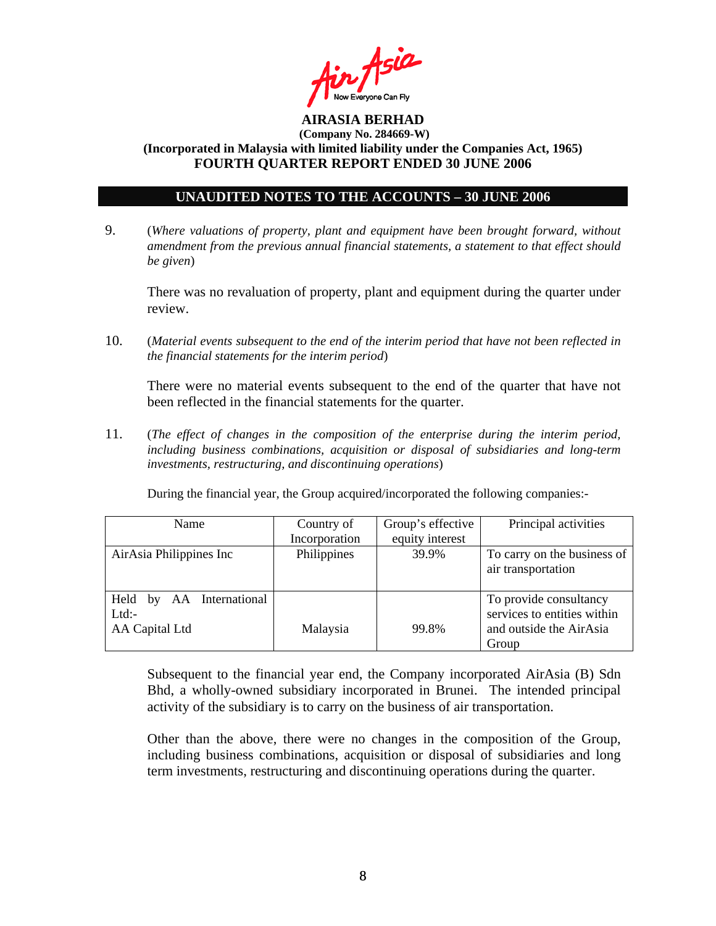

### **UNAUDITED NOTES TO THE ACCOUNTS – 30 JUNE 2006**

9. (*Where valuations of property, plant and equipment have been brought forward, without amendment from the previous annual financial statements, a statement to that effect should be given*)

 There was no revaluation of property, plant and equipment during the quarter under review.

10. (*Material events subsequent to the end of the interim period that have not been reflected in the financial statements for the interim period*)

There were no material events subsequent to the end of the quarter that have not been reflected in the financial statements for the quarter.

11. (*The effect of changes in the composition of the enterprise during the interim period, including business combinations, acquisition or disposal of subsidiaries and long-term investments, restructuring, and discontinuing operations*)

During the financial year, the Group acquired/incorporated the following companies:-

| Name                                                         | Country of    | Group's effective | Principal activities                                                                      |
|--------------------------------------------------------------|---------------|-------------------|-------------------------------------------------------------------------------------------|
|                                                              | Incorporation | equity interest   |                                                                                           |
| AirAsia Philippines Inc                                      | Philippines   | 39.9%             | To carry on the business of<br>air transportation                                         |
| AA International<br>Held<br>by<br>$Ltd$ :-<br>AA Capital Ltd | Malaysia      | 99.8%             | To provide consultancy<br>services to entities within<br>and outside the AirAsia<br>Group |

Subsequent to the financial year end, the Company incorporated AirAsia (B) Sdn Bhd, a wholly-owned subsidiary incorporated in Brunei. The intended principal activity of the subsidiary is to carry on the business of air transportation.

Other than the above, there were no changes in the composition of the Group, including business combinations, acquisition or disposal of subsidiaries and long term investments, restructuring and discontinuing operations during the quarter.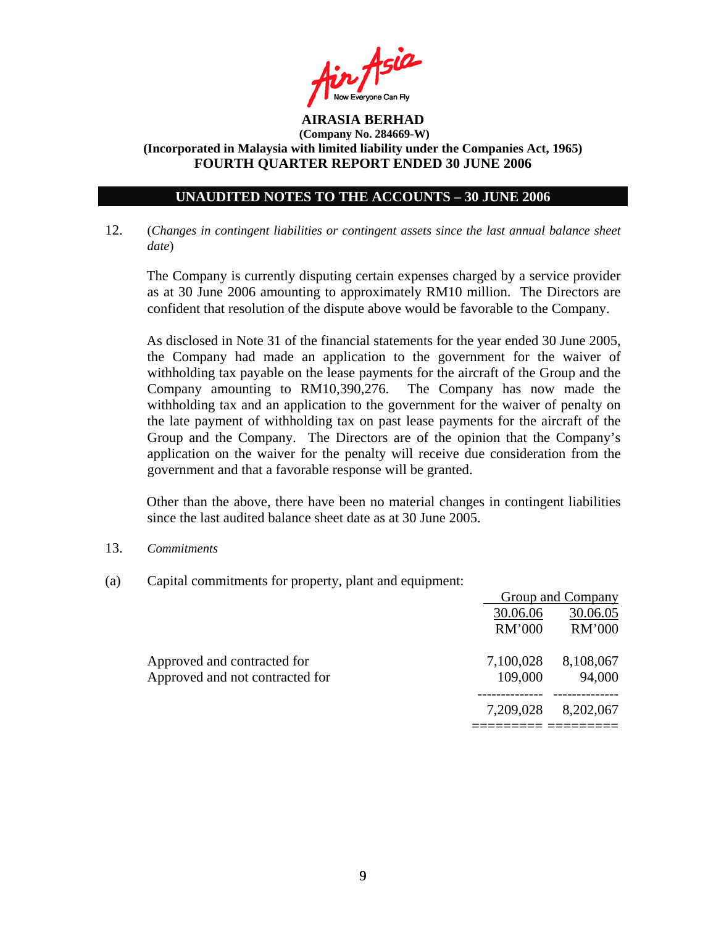

### **UNAUDITED NOTES TO THE ACCOUNTS – 30 JUNE 2006**

12. (*Changes in contingent liabilities or contingent assets since the last annual balance sheet date*)

The Company is currently disputing certain expenses charged by a service provider as at 30 June 2006 amounting to approximately RM10 million. The Directors are confident that resolution of the dispute above would be favorable to the Company.

As disclosed in Note 31 of the financial statements for the year ended 30 June 2005, the Company had made an application to the government for the waiver of withholding tax payable on the lease payments for the aircraft of the Group and the Company amounting to RM10,390,276. The Company has now made the withholding tax and an application to the government for the waiver of penalty on the late payment of withholding tax on past lease payments for the aircraft of the Group and the Company. The Directors are of the opinion that the Company's application on the waiver for the penalty will receive due consideration from the government and that a favorable response will be granted.

Other than the above, there have been no material changes in contingent liabilities since the last audited balance sheet date as at 30 June 2005.

- 13. *Commitments*
- (a) Capital commitments for property, plant and equipment:

|                                 |               | Group and Company |
|---------------------------------|---------------|-------------------|
|                                 | 30.06.06      | 30.06.05          |
|                                 | <b>RM'000</b> | RM'000            |
| Approved and contracted for     | 7,100,028     | 8,108,067         |
| Approved and not contracted for | 109,000       | 94,000            |
|                                 | 7,209,028     | 8,202,067         |
|                                 |               |                   |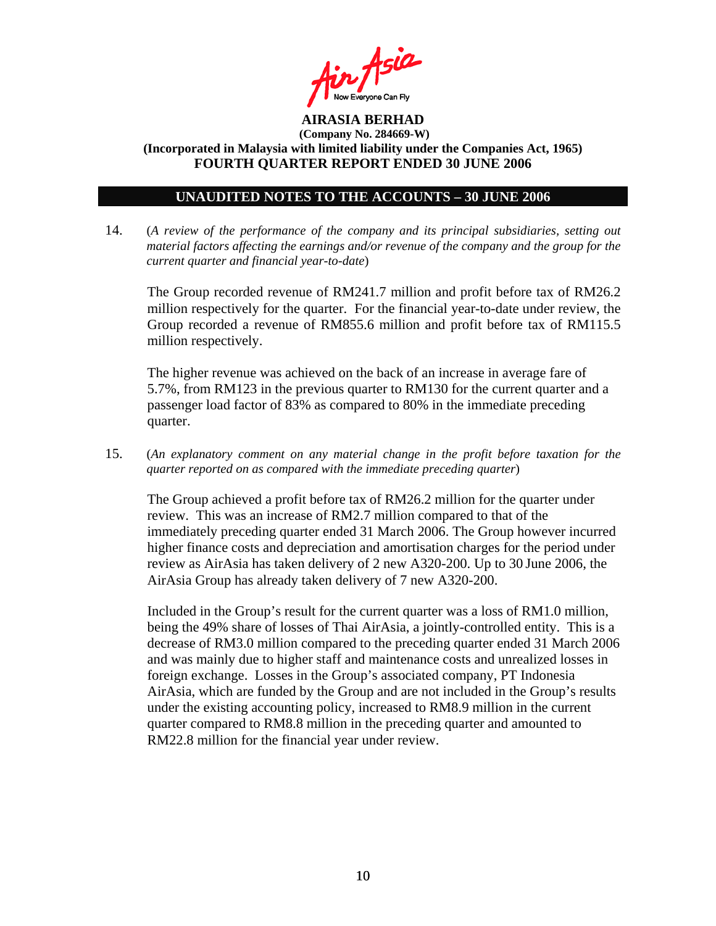

### **UNAUDITED NOTES TO THE ACCOUNTS – 30 JUNE 2006**

14. (*A review of the performance of the company and its principal subsidiaries, setting out material factors affecting the earnings and/or revenue of the company and the group for the current quarter and financial year-to-date*)

The Group recorded revenue of RM241.7 million and profit before tax of RM26.2 million respectively for the quarter. For the financial year-to-date under review, the Group recorded a revenue of RM855.6 million and profit before tax of RM115.5 million respectively.

The higher revenue was achieved on the back of an increase in average fare of 5.7%, from RM123 in the previous quarter to RM130 for the current quarter and a passenger load factor of 83% as compared to 80% in the immediate preceding quarter.

15. (*An explanatory comment on any material change in the profit before taxation for the quarter reported on as compared with the immediate preceding quarter*)

The Group achieved a profit before tax of RM26.2 million for the quarter under review. This was an increase of RM2.7 million compared to that of the immediately preceding quarter ended 31 March 2006. The Group however incurred higher finance costs and depreciation and amortisation charges for the period under review as AirAsia has taken delivery of 2 new A320-200. Up to 30 June 2006, the AirAsia Group has already taken delivery of 7 new A320-200.

 Included in the Group's result for the current quarter was a loss of RM1.0 million, being the 49% share of losses of Thai AirAsia, a jointly-controlled entity. This is a decrease of RM3.0 million compared to the preceding quarter ended 31 March 2006 and was mainly due to higher staff and maintenance costs and unrealized losses in foreign exchange. Losses in the Group's associated company, PT Indonesia AirAsia, which are funded by the Group and are not included in the Group's results under the existing accounting policy, increased to RM8.9 million in the current quarter compared to RM8.8 million in the preceding quarter and amounted to RM22.8 million for the financial year under review.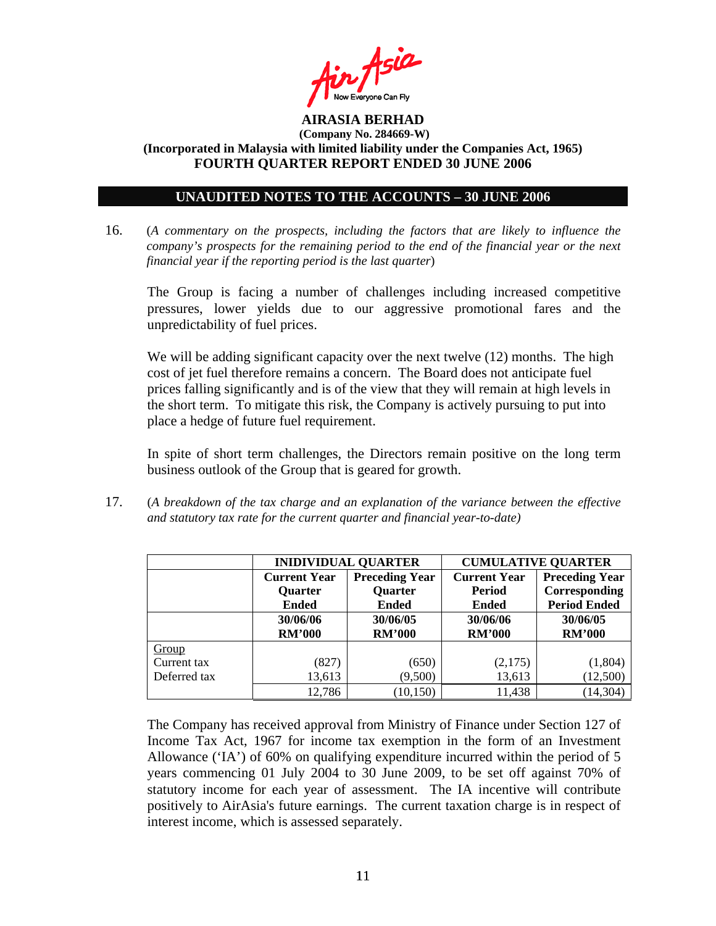

### **UNAUDITED NOTES TO THE ACCOUNTS – 30 JUNE 2006**

16. (*A commentary on the prospects, including the factors that are likely to influence the company's prospects for the remaining period to the end of the financial year or the next financial year if the reporting period is the last quarter*)

The Group is facing a number of challenges including increased competitive pressures, lower yields due to our aggressive promotional fares and the unpredictability of fuel prices.

We will be adding significant capacity over the next twelve (12) months. The high cost of jet fuel therefore remains a concern. The Board does not anticipate fuel prices falling significantly and is of the view that they will remain at high levels in the short term. To mitigate this risk, the Company is actively pursuing to put into place a hedge of future fuel requirement.

In spite of short term challenges, the Directors remain positive on the long term business outlook of the Group that is geared for growth.

17. (*A breakdown of the tax charge and an explanation of the variance between the effective and statutory tax rate for the current quarter and financial year-to-date)*

|              | <b>INIDIVIDUAL QUARTER</b> |                       | <b>CUMULATIVE QUARTER</b> |                       |  |
|--------------|----------------------------|-----------------------|---------------------------|-----------------------|--|
|              | <b>Current Year</b>        | <b>Preceding Year</b> | <b>Current Year</b>       | <b>Preceding Year</b> |  |
|              | <b>Quarter</b>             | <b>Quarter</b>        | <b>Period</b>             | Corresponding         |  |
|              | Ended<br><b>Ended</b>      |                       | <b>Ended</b>              | <b>Period Ended</b>   |  |
|              | 30/06/06                   | 30/06/05              | 30/06/06                  | 30/06/05              |  |
|              | <b>RM'000</b>              | <b>RM'000</b>         | <b>RM'000</b>             | <b>RM'000</b>         |  |
| Group        |                            |                       |                           |                       |  |
| Current tax  | (827)                      | (650)                 | (2,175)                   | (1,804)               |  |
| Deferred tax | 13,613                     | (9,500)               | 13,613                    | (12,500)              |  |
|              | 12,786                     | (10, 150)             | 11,438                    | (14, 304)             |  |

The Company has received approval from Ministry of Finance under Section 127 of Income Tax Act, 1967 for income tax exemption in the form of an Investment Allowance ('IA') of 60% on qualifying expenditure incurred within the period of 5 years commencing 01 July 2004 to 30 June 2009, to be set off against 70% of statutory income for each year of assessment. The IA incentive will contribute positively to AirAsia's future earnings. The current taxation charge is in respect of interest income, which is assessed separately.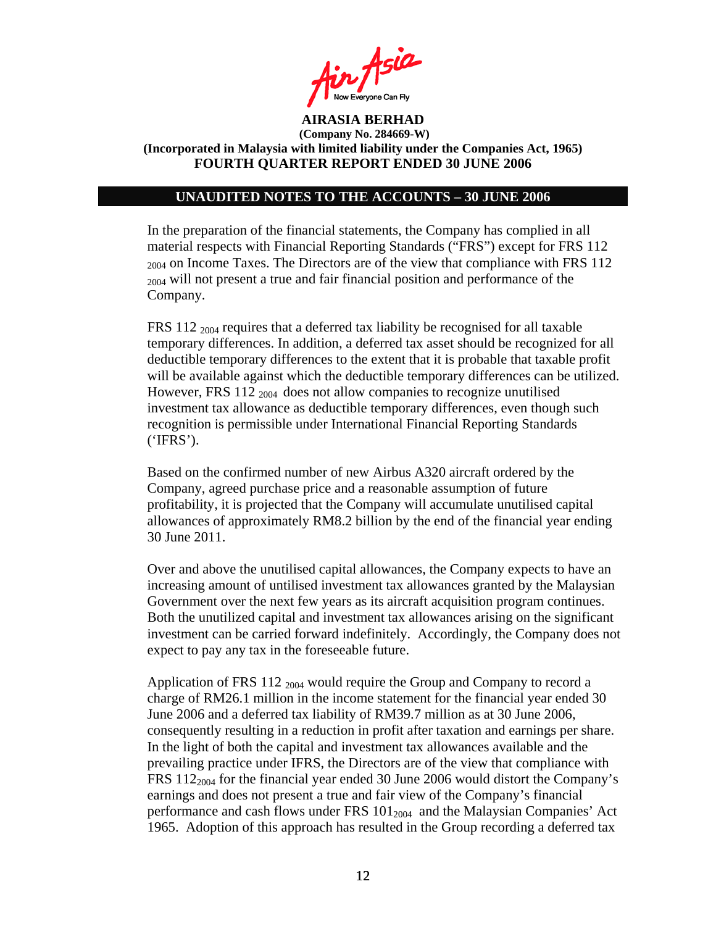

#### **UNAUDITED NOTES TO THE ACCOUNTS – 30 JUNE 2006**

In the preparation of the financial statements, the Company has complied in all material respects with Financial Reporting Standards ("FRS") except for FRS 112 <sub>2004</sub> on Income Taxes. The Directors are of the view that compliance with FRS 112 2004 will not present a true and fair financial position and performance of the Company.

FRS 112 2004 requires that a deferred tax liability be recognised for all taxable temporary differences. In addition, a deferred tax asset should be recognized for all deductible temporary differences to the extent that it is probable that taxable profit will be available against which the deductible temporary differences can be utilized. However, FRS 112 <sub>2004</sub> does not allow companies to recognize unutilised investment tax allowance as deductible temporary differences, even though such recognition is permissible under International Financial Reporting Standards ('IFRS').

Based on the confirmed number of new Airbus A320 aircraft ordered by the Company, agreed purchase price and a reasonable assumption of future profitability, it is projected that the Company will accumulate unutilised capital allowances of approximately RM8.2 billion by the end of the financial year ending 30 June 2011.

Over and above the unutilised capital allowances, the Company expects to have an increasing amount of untilised investment tax allowances granted by the Malaysian Government over the next few years as its aircraft acquisition program continues. Both the unutilized capital and investment tax allowances arising on the significant investment can be carried forward indefinitely. Accordingly, the Company does not expect to pay any tax in the foreseeable future.

Application of FRS 112 <sub>2004</sub> would require the Group and Company to record a charge of RM26.1 million in the income statement for the financial year ended 30 June 2006 and a deferred tax liability of RM39.7 million as at 30 June 2006, consequently resulting in a reduction in profit after taxation and earnings per share. In the light of both the capital and investment tax allowances available and the prevailing practice under IFRS, the Directors are of the view that compliance with FRS 112<sub>2004</sub> for the financial year ended 30 June 2006 would distort the Company's earnings and does not present a true and fair view of the Company's financial performance and cash flows under FRS  $101_{2004}$  and the Malaysian Companies' Act 1965. Adoption of this approach has resulted in the Group recording a deferred tax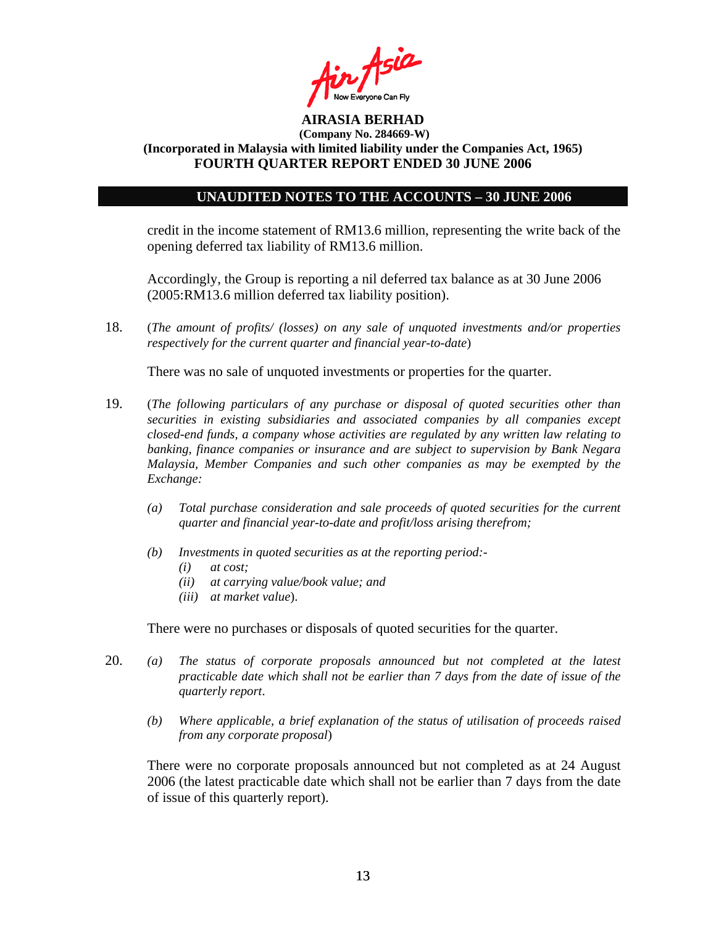

#### **UNAUDITED NOTES TO THE ACCOUNTS – 30 JUNE 2006**

credit in the income statement of RM13.6 million, representing the write back of the opening deferred tax liability of RM13.6 million.

Accordingly, the Group is reporting a nil deferred tax balance as at 30 June 2006 (2005:RM13.6 million deferred tax liability position).

18. (*The amount of profits/ (losses) on any sale of unquoted investments and/or properties respectively for the current quarter and financial year-to-date*)

There was no sale of unquoted investments or properties for the quarter.

- 19. (*The following particulars of any purchase or disposal of quoted securities other than securities in existing subsidiaries and associated companies by all companies except closed-end funds, a company whose activities are regulated by any written law relating to banking, finance companies or insurance and are subject to supervision by Bank Negara Malaysia, Member Companies and such other companies as may be exempted by the Exchange:* 
	- *(a) Total purchase consideration and sale proceeds of quoted securities for the current quarter and financial year-to-date and profit/loss arising therefrom;*
	- *(b) Investments in quoted securities as at the reporting period:-* 
		- *(i) at cost;*
		- *(ii) at carrying value/book value; and*
		- *(iii) at market value*).

There were no purchases or disposals of quoted securities for the quarter.

- 20. *(a) The status of corporate proposals announced but not completed at the latest practicable date which shall not be earlier than 7 days from the date of issue of the quarterly report*.
	- *(b) Where applicable, a brief explanation of the status of utilisation of proceeds raised from any corporate proposal*)

There were no corporate proposals announced but not completed as at 24 August 2006 (the latest practicable date which shall not be earlier than 7 days from the date of issue of this quarterly report).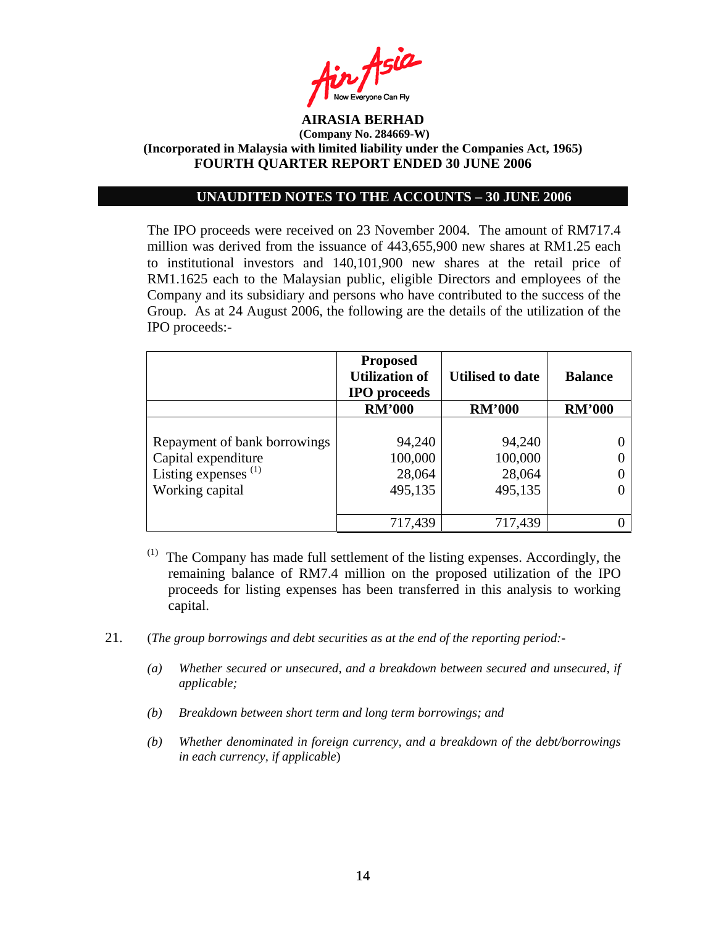

### **UNAUDITED NOTES TO THE ACCOUNTS – 30 JUNE 2006**

 The IPO proceeds were received on 23 November 2004. The amount of RM717.4 million was derived from the issuance of 443,655,900 new shares at RM1.25 each to institutional investors and 140,101,900 new shares at the retail price of RM1.1625 each to the Malaysian public, eligible Directors and employees of the Company and its subsidiary and persons who have contributed to the success of the Group. As at 24 August 2006, the following are the details of the utilization of the IPO proceeds:-

|                                                                                                           | <b>Proposed</b><br><b>Utilization of</b><br><b>IPO</b> proceeds | <b>Utilised to date</b>                | <b>Balance</b> |
|-----------------------------------------------------------------------------------------------------------|-----------------------------------------------------------------|----------------------------------------|----------------|
|                                                                                                           | <b>RM'000</b>                                                   | <b>RM'000</b>                          | <b>RM'000</b>  |
| Repayment of bank borrowings<br>Capital expenditure<br>Listing expenses <sup>(1)</sup><br>Working capital | 94,240<br>100,000<br>28,064<br>495,135                          | 94,240<br>100,000<br>28,064<br>495,135 |                |
|                                                                                                           | 717,439                                                         | 717,439                                |                |

(1) The Company has made full settlement of the listing expenses. Accordingly, the remaining balance of RM7.4 million on the proposed utilization of the IPO proceeds for listing expenses has been transferred in this analysis to working capital.

- 21. (*The group borrowings and debt securities as at the end of the reporting period:-* 
	- *(a) Whether secured or unsecured, and a breakdown between secured and unsecured, if applicable;*
	- *(b) Breakdown between short term and long term borrowings; and*
	- *(b) Whether denominated in foreign currency, and a breakdown of the debt/borrowings in each currency, if applicable*)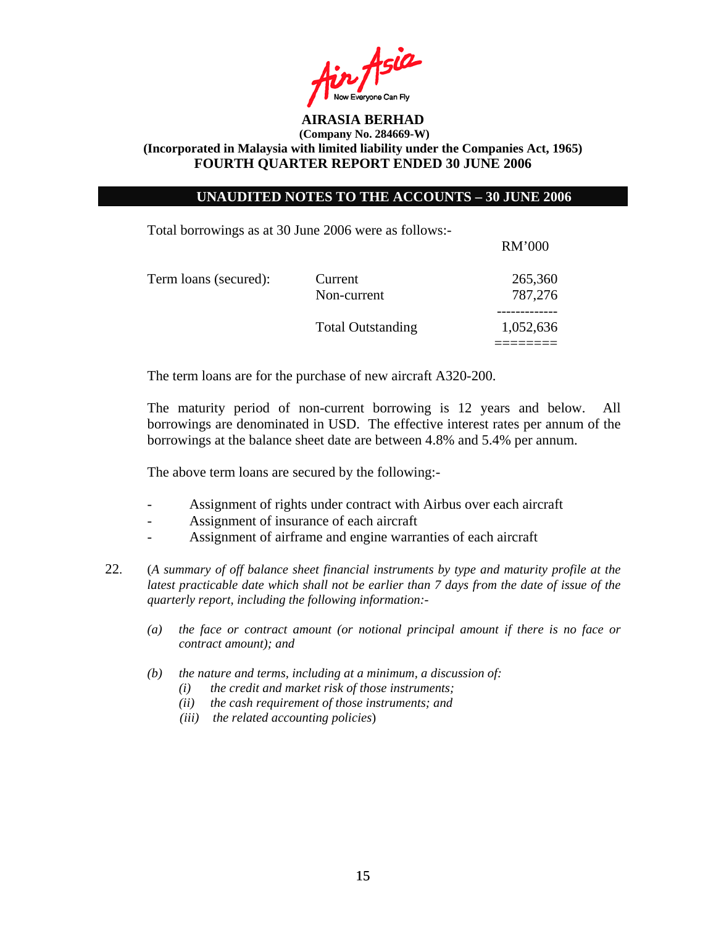Air Asia

### **UNAUDITED NOTES TO THE ACCOUNTS – 30 JUNE 2006**

Total borrowings as at 30 June 2006 were as follows:-

| Term loans (secured): | Current                  | 265,360   |
|-----------------------|--------------------------|-----------|
|                       | Non-current              | 787,276   |
|                       | <b>Total Outstanding</b> | 1,052,636 |
|                       |                          |           |

RM'000

The term loans are for the purchase of new aircraft A320-200.

The maturity period of non-current borrowing is 12 years and below. All borrowings are denominated in USD. The effective interest rates per annum of the borrowings at the balance sheet date are between 4.8% and 5.4% per annum.

The above term loans are secured by the following:-

- Assignment of rights under contract with Airbus over each aircraft
- Assignment of insurance of each aircraft
- Assignment of airframe and engine warranties of each aircraft
- 22. (*A summary of off balance sheet financial instruments by type and maturity profile at the latest practicable date which shall not be earlier than 7 days from the date of issue of the quarterly report, including the following information:-* 
	- *(a) the face or contract amount (or notional principal amount if there is no face or contract amount); and*
	- *(b) the nature and terms, including at a minimum, a discussion of:* 
		- *(i) the credit and market risk of those instruments;*
		- *(ii) the cash requirement of those instruments; and*
		- *(iii) the related accounting policies*)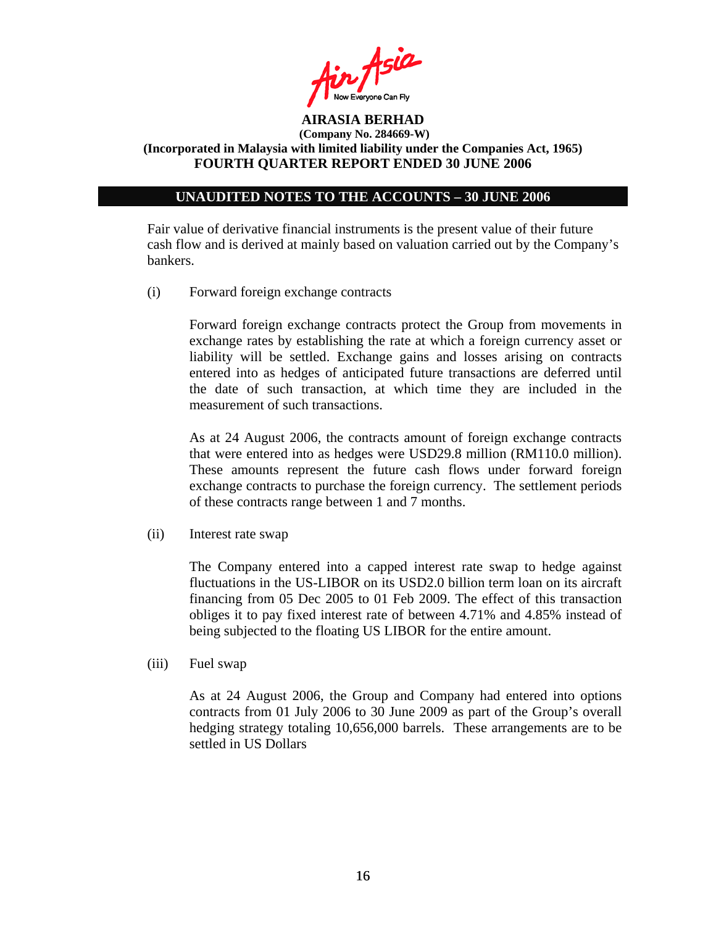

### **UNAUDITED NOTES TO THE ACCOUNTS – 30 JUNE 2006**

Fair value of derivative financial instruments is the present value of their future cash flow and is derived at mainly based on valuation carried out by the Company's bankers.

(i) Forward foreign exchange contracts

Forward foreign exchange contracts protect the Group from movements in exchange rates by establishing the rate at which a foreign currency asset or liability will be settled. Exchange gains and losses arising on contracts entered into as hedges of anticipated future transactions are deferred until the date of such transaction, at which time they are included in the measurement of such transactions.

As at 24 August 2006, the contracts amount of foreign exchange contracts that were entered into as hedges were USD29.8 million (RM110.0 million). These amounts represent the future cash flows under forward foreign exchange contracts to purchase the foreign currency. The settlement periods of these contracts range between 1 and 7 months.

(ii) Interest rate swap

The Company entered into a capped interest rate swap to hedge against fluctuations in the US-LIBOR on its USD2.0 billion term loan on its aircraft financing from 05 Dec 2005 to 01 Feb 2009. The effect of this transaction obliges it to pay fixed interest rate of between 4.71% and 4.85% instead of being subjected to the floating US LIBOR for the entire amount.

(iii) Fuel swap

As at 24 August 2006, the Group and Company had entered into options contracts from 01 July 2006 to 30 June 2009 as part of the Group's overall hedging strategy totaling 10,656,000 barrels. These arrangements are to be settled in US Dollars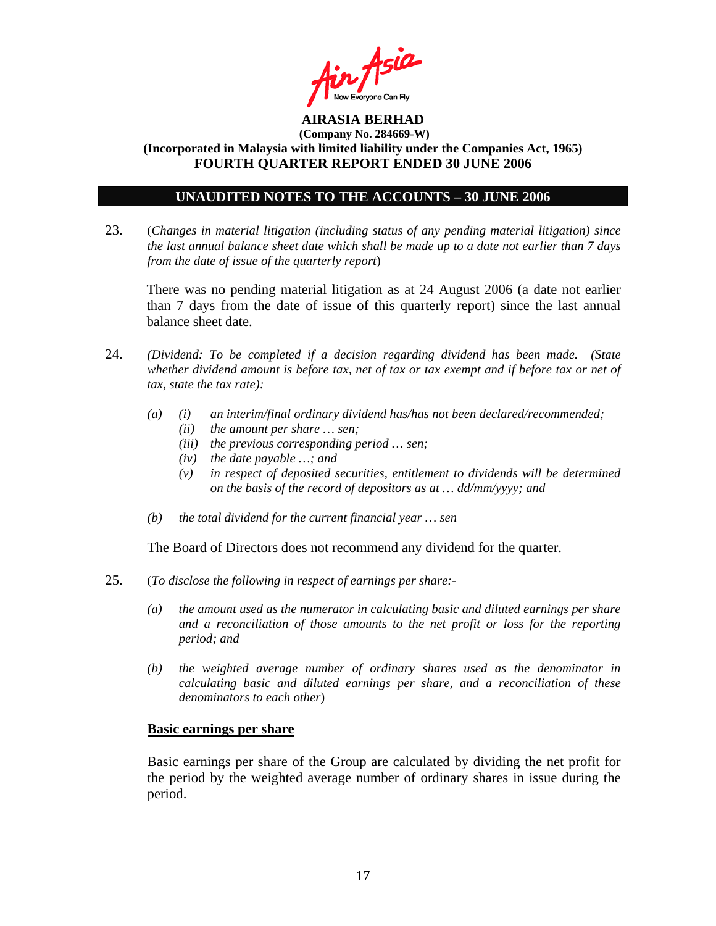

### **UNAUDITED NOTES TO THE ACCOUNTS – 30 JUNE 2006**

23. (*Changes in material litigation (including status of any pending material litigation) since the last annual balance sheet date which shall be made up to a date not earlier than 7 days from the date of issue of the quarterly report*)

There was no pending material litigation as at 24 August 2006 (a date not earlier than 7 days from the date of issue of this quarterly report) since the last annual balance sheet date.

- 24. *(Dividend: To be completed if a decision regarding dividend has been made. (State whether dividend amount is before tax, net of tax or tax exempt and if before tax or net of tax, state the tax rate):*
	- *(a) (i) an interim/final ordinary dividend has/has not been declared/recommended;* 
		- *(ii) the amount per share … sen;*
		- *(iii) the previous corresponding period … sen;*
		- *(iv) the date payable …; and*
		- *(v) in respect of deposited securities, entitlement to dividends will be determined on the basis of the record of depositors as at … dd/mm/yyyy; and*
	- *(b) the total dividend for the current financial year … sen*

The Board of Directors does not recommend any dividend for the quarter.

- 25. (*To disclose the following in respect of earnings per share:-* 
	- *(a) the amount used as the numerator in calculating basic and diluted earnings per share and a reconciliation of those amounts to the net profit or loss for the reporting period; and*
	- *(b) the weighted average number of ordinary shares used as the denominator in calculating basic and diluted earnings per share, and a reconciliation of these denominators to each other*)

### **Basic earnings per share**

 Basic earnings per share of the Group are calculated by dividing the net profit for the period by the weighted average number of ordinary shares in issue during the period.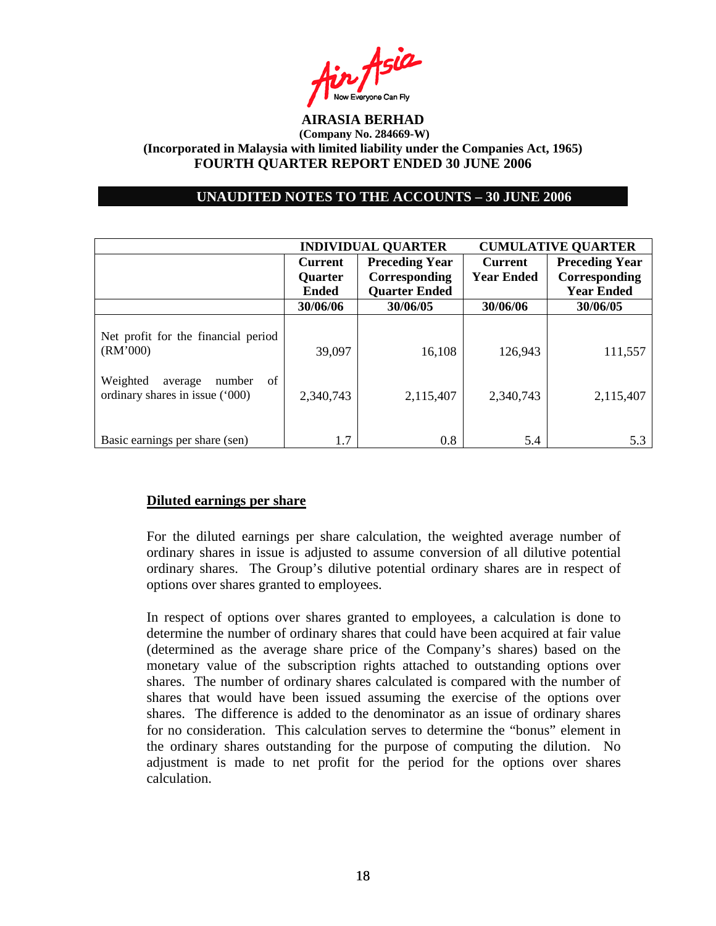Asia

### **UNAUDITED NOTES TO THE ACCOUNTS – 30 JUNE 2006**

|                                                                        | <b>INDIVIDUAL QUARTER</b> |                       |                   | <b>CUMULATIVE QUARTER</b> |
|------------------------------------------------------------------------|---------------------------|-----------------------|-------------------|---------------------------|
|                                                                        | <b>Current</b>            | <b>Preceding Year</b> | <b>Current</b>    | <b>Preceding Year</b>     |
|                                                                        | <b>Quarter</b>            | Corresponding         | <b>Year Ended</b> | Corresponding             |
|                                                                        | <b>Ended</b>              | <b>Quarter Ended</b>  |                   | <b>Year Ended</b>         |
|                                                                        | 30/06/06                  | 30/06/05              | 30/06/06          | 30/06/05                  |
| Net profit for the financial period<br>(RM'000)                        | 39,097                    | 16,108                | 126,943           | 111,557                   |
| of<br>Weighted<br>number<br>average<br>ordinary shares in issue ('000) | 2,340,743                 | 2,115,407             | 2,340,743         | 2,115,407                 |
| Basic earnings per share (sen)                                         | 1.7                       | 0.8                   | 5.4               | 5.3                       |

### **Diluted earnings per share**

For the diluted earnings per share calculation, the weighted average number of ordinary shares in issue is adjusted to assume conversion of all dilutive potential ordinary shares. The Group's dilutive potential ordinary shares are in respect of options over shares granted to employees.

In respect of options over shares granted to employees, a calculation is done to determine the number of ordinary shares that could have been acquired at fair value (determined as the average share price of the Company's shares) based on the monetary value of the subscription rights attached to outstanding options over shares. The number of ordinary shares calculated is compared with the number of shares that would have been issued assuming the exercise of the options over shares. The difference is added to the denominator as an issue of ordinary shares for no consideration. This calculation serves to determine the "bonus" element in the ordinary shares outstanding for the purpose of computing the dilution. No adjustment is made to net profit for the period for the options over shares calculation.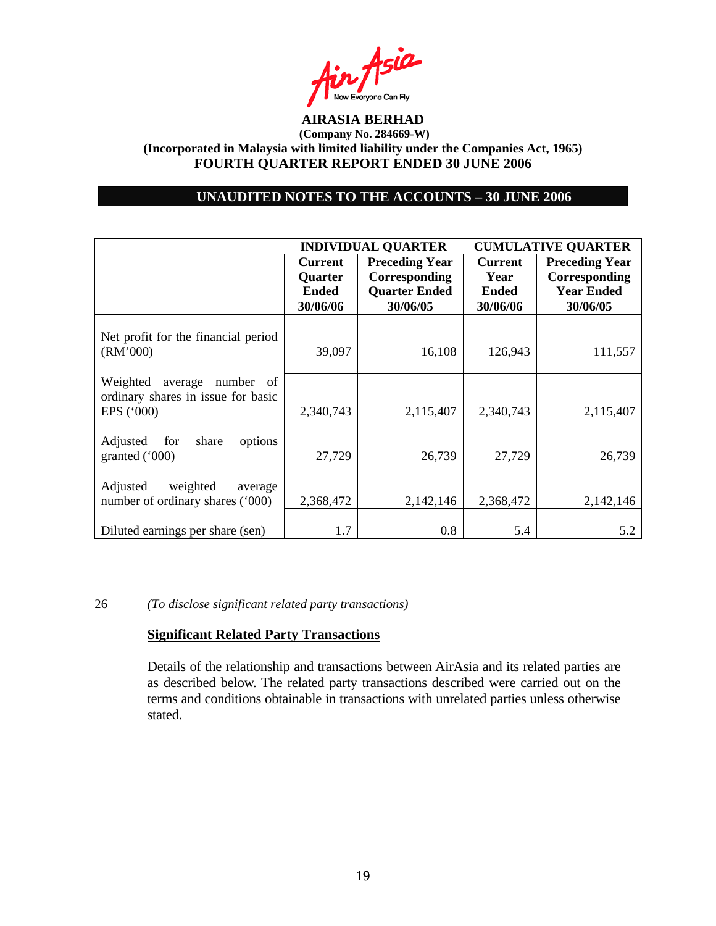rfsia Now Everyone Can Fly<br>**AIRASIA BERHAD** 

### **UNAUDITED NOTES TO THE ACCOUNTS – 30 JUNE 2006**

|                                                                                   | <b>INDIVIDUAL QUARTER</b> |                       | <b>CUMULATIVE QUARTER</b> |                       |
|-----------------------------------------------------------------------------------|---------------------------|-----------------------|---------------------------|-----------------------|
|                                                                                   | <b>Current</b>            | <b>Preceding Year</b> | <b>Current</b>            | <b>Preceding Year</b> |
|                                                                                   | <b>Quarter</b>            | Corresponding         | Year                      | Corresponding         |
|                                                                                   | Ended                     | <b>Quarter Ended</b>  | <b>Ended</b>              | <b>Year Ended</b>     |
|                                                                                   | 30/06/06                  | 30/06/05              | 30/06/06                  | 30/06/05              |
| Net profit for the financial period<br>(RM'000)                                   | 39,097                    | 16,108                | 126,943                   | 111,557               |
| Weighted<br>average number of<br>ordinary shares in issue for basic<br>EPS ('000) | 2,340,743                 | 2,115,407             | 2,340,743                 | 2,115,407             |
| Adjusted<br>for<br>share<br>options<br>granted ('000)                             | 27,729                    | 26,739                | 27,729                    | 26,739                |
| Adjusted<br>weighted<br>average<br>number of ordinary shares ('000)               | 2,368,472                 | 2,142,146             | 2,368,472                 | 2,142,146             |
| Diluted earnings per share (sen)                                                  | 1.7                       | 0.8                   | 5.4                       | 5.2                   |

26 *(To disclose significant related party transactions)* 

#### **Significant Related Party Transactions**

Details of the relationship and transactions between AirAsia and its related parties are as described below. The related party transactions described were carried out on the terms and conditions obtainable in transactions with unrelated parties unless otherwise stated.